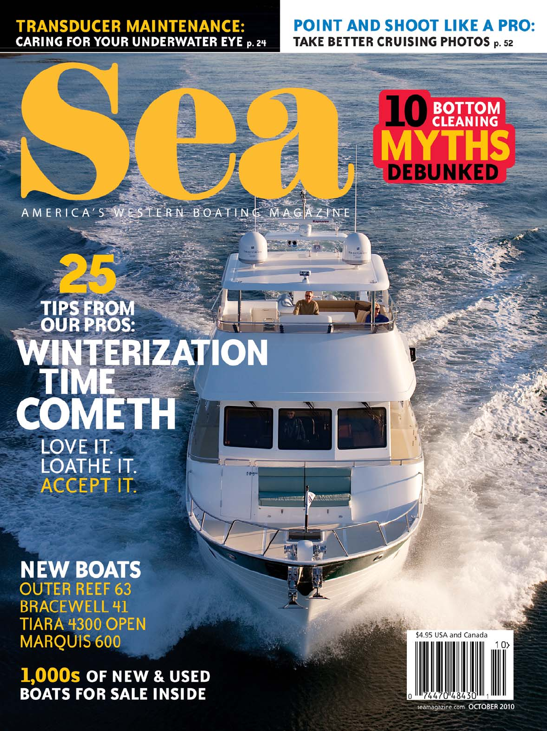## **TRANSDUCER MAINTENANCE:**<br>CARING FOR YOUR UNDERWATER EYE p. 24

### **POINT AND SHOOT LIKE A PRO:** TAKE BETTER CRUISING PHOTOS p. 52

AMERICA'S WESTERN BOATING MAG ZINE

# BOTTOM **DEBUNKED**

**SFROM PROS: FERIZATION** OMETH LOVE IT. **LOATHE IT. ACCEPT IT.** 

**NEW BOATS OUTER REEF 63 BRACEWELL 41** TIARA 4300 OPEN MARQUIS 600

**1,000s OF NEW & USED BOATS FOR SALE INSIDE** 



eamagazine.com OCTOBER 2010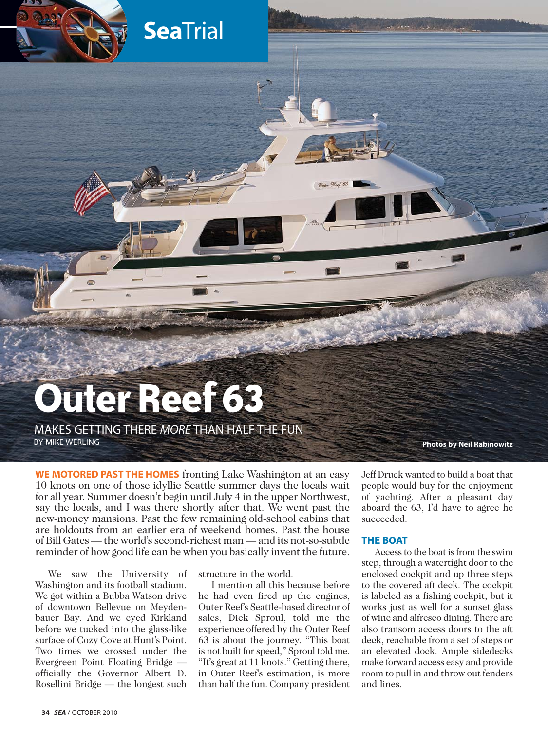

MAKES GETTING THERE *MORE* THAN HALF THE FUN

**Sea**Trial

**Photos by Neil Rabinowitz** 

**WE MOTORED PAST THE HOMES** fronting Lake Washington at an easy 10 knots on one of those idyllic Seattle summer days the locals wait for all year. Summer doesn't begin until July 4 in the upper Northwest, say the locals, and I was there shortly after that. We went past the new-money mansions. Past the few remaining old-school cabins that are holdouts from an earlier era of weekend homes. Past the house of Bill Gates — the world's second-richest man — and its not-so-subtle reminder of how good life can be when you basically invent the future.

We saw the University of Washington and its football stadium. We got within a Bubba Watson drive of downtown Bellevue on Meydenbauer Bay. And we eyed Kirkland before we tucked into the glass-like surface of Cozy Cove at Hunt's Point. Two times we crossed under the Evergreen Point Floating Bridge officially the Governor Albert D. Rosellini Bridge — the longest such

structure in the world.

I mention all this because before he had even fired up the engines, Outer Reef's Seattle-based director of sales, Dick Sproul, told me the experience offered by the Outer Reef 63 is about the journey. "This boat is not built for speed," Sproul told me. "It's great at 11 knots." Getting there, in Outer Reef's estimation, is more than half the fun. Company president

Jeff Druek wanted to build a boat that people would buy for the enjoyment of yachting. After a pleasant day aboard the 63, I'd have to agree he succeeded.

#### **THE BOAT**

Access to the boat is from the swim step, through a watertight door to the enclosed cockpit and up three steps to the covered aft deck. The cockpit is labeled as a fishing cockpit, but it works just as well for a sunset glass of wine and alfresco dining. There are also transom access doors to the aft deck, reachable from a set of steps or an elevated dock. Ample sidedecks make forward access easy and provide room to pull in and throw out fenders and lines.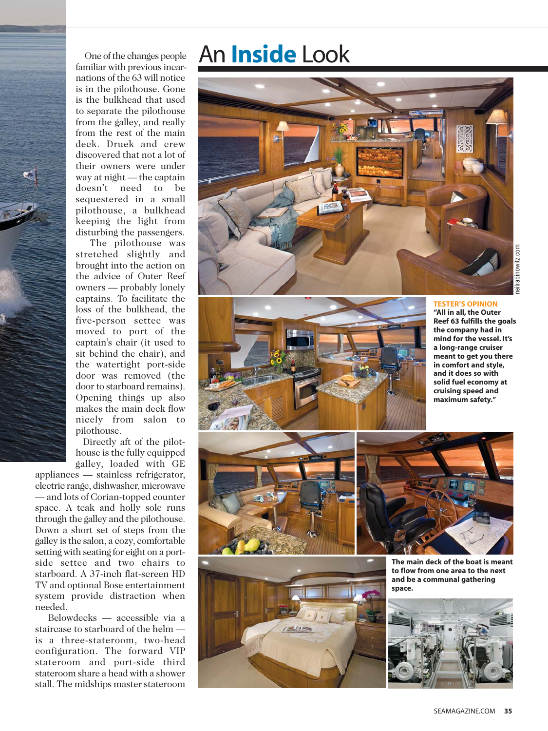An **Inside** Look



**TESTER'S OPINION**

**"All in all, the Outer Reef 63 fulfills the goals the company had in mind for the vessel. It's a long-range cruiser meant to get you there in comfort and style, and it does so with solid fuel economy at cruising speed and maximum safety."**







**The main deck of the boat is meant to flow from one area to the next and be a communal gathering space.**



One of the changes people familiar with previous incarnations of the 63 will notice is in the pilothouse. Gone is the bulkhead that used to separate the pilothouse from the galley, and really from the rest of the main deck. Druek and crew discovered that not a lot of their owners were under way at night — the captain doesn't need to be sequestered in a small pilothouse, a bulkhead keeping the light from disturbing the passengers.

The pilothouse was stretched slightly and brought into the action on the advice of Outer Reef owners — probably lonely captains. To facilitate the loss of the bulkhead, the five-person settee was moved to port of the captain's chair (it used to sit behind the chair), and the watertight port-side door was removed (the door to starboard remains). Opening things up also makes the main deck flow nicely from salon to pilothouse.

Directly aft of the pilothouse is the fully equipped galley, loaded with GE

appliances — stainless refrigerator, electric range, dishwasher, microwave — and lots of Corian-topped counter space. A teak and holly sole runs through the galley and the pilothouse. Down a short set of steps from the galley is the salon, a cozy, comfortable setting with seating for eight on a portside settee and two chairs to starboard. A 37-inch flat-screen HD TV and optional Bose entertainment system provide distraction when needed.

Belowdecks — accessible via a staircase to starboard of the helm is a three-stateroom, two-head configuration. The forward VIP stateroom and port-side third stateroom share a head with a shower stall. The midships master stateroom